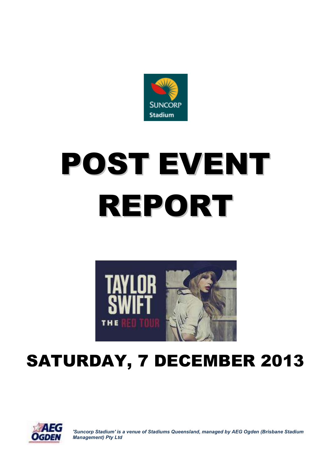

# POST EVENT REPORT



# SATURDAY, 7 DECEMBER 2013



*'Suncorp Stadium' is a venue of Stadiums Queensland, managed by AEG Ogden (Brisbane Stadium Management) Pty Ltd*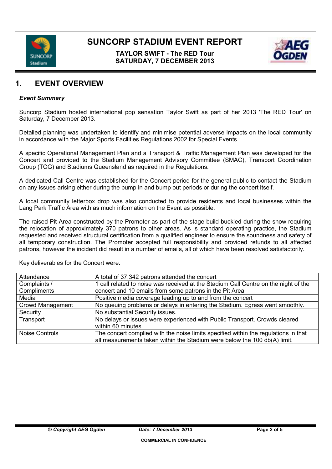

# **TAYLOR SWIFT - The RED Tour SATURDAY, 7 DECEMBER 2013**



# **1. EVENT OVERVIEW**

### *Event Summary*

Suncorp Stadium hosted international pop sensation Taylor Swift as part of her 2013 'The RED Tour' on Saturday, 7 December 2013.

Detailed planning was undertaken to identify and minimise potential adverse impacts on the local community in accordance with the Major Sports Facilities Regulations 2002 for Special Events.

A specific Operational Management Plan and a Transport & Traffic Management Plan was developed for the Concert and provided to the Stadium Management Advisory Committee (SMAC), Transport Coordination Group (TCG) and Stadiums Queensland as required in the Regulations.

A dedicated Call Centre was established for the Concert period for the general public to contact the Stadium on any issues arising either during the bump in and bump out periods or during the concert itself.

A local community letterbox drop was also conducted to provide residents and local businesses within the Lang Park Traffic Area with as much information on the Event as possible.

The raised Pit Area constructed by the Promoter as part of the stage build buckled during the show requiring the relocation of approximately 370 patrons to other areas. As is standard operating practice, the Stadium requested and received structural certification from a qualified engineer to ensure the soundness and safety of all temporary construction. The Promoter accepted full responsibility and provided refunds to all affected patrons, however the incident did result in a number of emails, all of which have been resolved satisfactorily.

| Attendance              | A total of 37,342 patrons attended the concert                                                                                                                   |  |
|-------------------------|------------------------------------------------------------------------------------------------------------------------------------------------------------------|--|
| Complaints /            | 1 call related to noise was received at the Stadium Call Centre on the night of the                                                                              |  |
| Compliments             | concert and 10 emails from some patrons in the Pit Area                                                                                                          |  |
| Media                   | Positive media coverage leading up to and from the concert                                                                                                       |  |
| <b>Crowd Management</b> | No queuing problems or delays in entering the Stadium. Egress went smoothly.                                                                                     |  |
| Security                | No substantial Security issues.                                                                                                                                  |  |
| Transport               | No delays or issues were experienced with Public Transport. Crowds cleared<br>within 60 minutes.                                                                 |  |
| <b>Noise Controls</b>   | The concert complied with the noise limits specified within the regulations in that<br>all measurements taken within the Stadium were below the 100 db(A) limit. |  |

Key deliverables for the Concert were: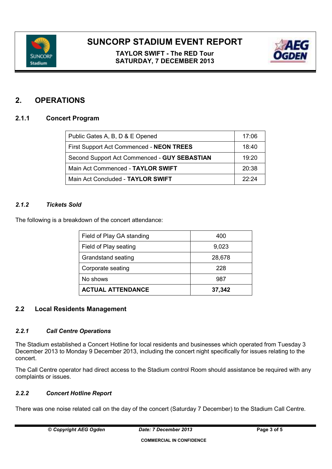

**TAYLOR SWIFT - The RED Tour SATURDAY, 7 DECEMBER 2013**



# **2. OPERATIONS**

# **2.1.1 Concert Program**

| Public Gates A, B, D & E Opened              | 17:06 |
|----------------------------------------------|-------|
| First Support Act Commenced - NEON TREES     | 18:40 |
| Second Support Act Commenced - GUY SEBASTIAN | 19:20 |
| Main Act Commenced - TAYLOR SWIFT            | 20:38 |
| Main Act Concluded - TAYLOR SWIFT            | 22.24 |

## *2.1.2 Tickets Sold*

The following is a breakdown of the concert attendance:

| Field of Play GA standing | 400    |
|---------------------------|--------|
| Field of Play seating     | 9,023  |
| Grandstand seating        | 28,678 |
| Corporate seating         | 228    |
| No shows                  | 987    |
| <b>ACTUAL ATTENDANCE</b>  | 37,342 |

### **2.2 Local Residents Management**

### *2.2.1 Call Centre Operations*

The Stadium established a Concert Hotline for local residents and businesses which operated from Tuesday 3 December 2013 to Monday 9 December 2013, including the concert night specifically for issues relating to the concert.

The Call Centre operator had direct access to the Stadium control Room should assistance be required with any complaints or issues.

## *2.2.2 Concert Hotline Report*

There was one noise related call on the day of the concert (Saturday 7 December) to the Stadium Call Centre.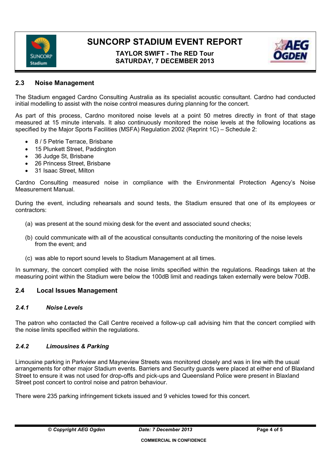

# **TAYLOR SWIFT - The RED Tour SATURDAY, 7 DECEMBER 2013**



# **2.3 Noise Management**

The Stadium engaged Cardno Consulting Australia as its specialist acoustic consultant. Cardno had conducted initial modelling to assist with the noise control measures during planning for the concert.

As part of this process, Cardno monitored noise levels at a point 50 metres directly in front of that stage measured at 15 minute intervals. It also continuously monitored the noise levels at the following locations as specified by the Major Sports Facilities (MSFA) Regulation 2002 (Reprint 1C) – Schedule 2:

- 8 / 5 Petrie Terrace, Brisbane
- 15 Plunkett Street, Paddington
- 36 Judge St, Brisbane
- 26 Princess Street, Brisbane
- 31 Isaac Street, Milton

Cardno Consulting measured noise in compliance with the Environmental Protection Agency's Noise Measurement Manual.

During the event, including rehearsals and sound tests, the Stadium ensured that one of its employees or contractors:

- (a) was present at the sound mixing desk for the event and associated sound checks;
- (b) could communicate with all of the acoustical consultants conducting the monitoring of the noise levels from the event; and
- (c) was able to report sound levels to Stadium Management at all times.

In summary, the concert complied with the noise limits specified within the regulations. Readings taken at the measuring point within the Stadium were below the 100dB limit and readings taken externally were below 70dB.

# **2.4 Local Issues Management**

### *2.4.1 Noise Levels*

The patron who contacted the Call Centre received a follow-up call advising him that the concert complied with the noise limits specified within the regulations.

### *2.4.2 Limousines & Parking*

Limousine parking in Parkview and Mayneview Streets was monitored closely and was in line with the usual arrangements for other major Stadium events. Barriers and Security guards were placed at either end of Blaxland Street to ensure it was not used for drop-offs and pick-ups and Queensland Police were present in Blaxland Street post concert to control noise and patron behaviour.

There were 235 parking infringement tickets issued and 9 vehicles towed for this concert.